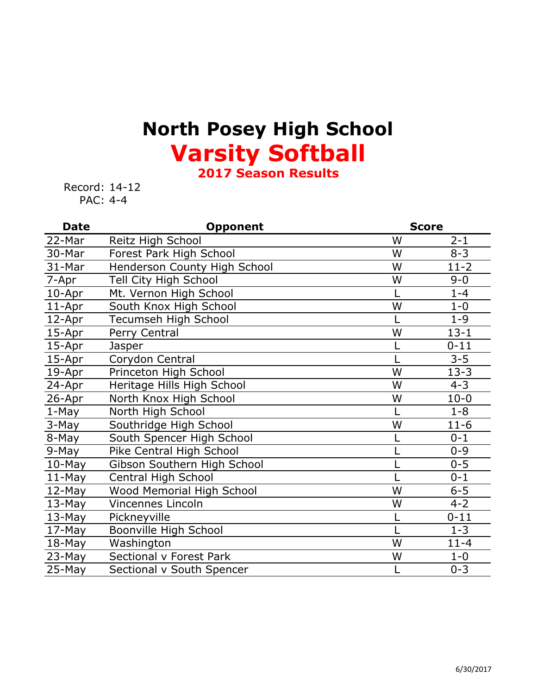## **North Posey High School Varsity Softball**

**2017 Season Results**

Record: 14-12 PAC: 4-4

| <b>Date</b> | <b>Opponent</b>              |   | <b>Score</b> |  |
|-------------|------------------------------|---|--------------|--|
| 22-Mar      | Reitz High School            | W | $2 - 1$      |  |
| 30-Mar      | Forest Park High School      | W | $8 - 3$      |  |
| 31-Mar      | Henderson County High School | W | $11 - 2$     |  |
| 7-Apr       | Tell City High School        | W | $9 - 0$      |  |
| 10-Apr      | Mt. Vernon High School       |   | $1 - 4$      |  |
| 11-Apr      | South Knox High School       | W | $1 - 0$      |  |
| 12-Apr      | Tecumseh High School         |   | $1 - 9$      |  |
| 15-Apr      | Perry Central                | W | $13 - 1$     |  |
| 15-Apr      | Jasper                       |   | $0 - 11$     |  |
| 15-Apr      | Corydon Central              |   | $3 - 5$      |  |
| 19-Apr      | Princeton High School        | W | $13 - 3$     |  |
| 24-Apr      | Heritage Hills High School   | W | $4 - 3$      |  |
| 26-Apr      | North Knox High School       | W | $10 - 0$     |  |
| $1-May$     | North High School            |   | $1 - 8$      |  |
| 3-May       | Southridge High School       | W | $11-6$       |  |
| 8-May       | South Spencer High School    |   | $0 - 1$      |  |
| 9-May       | Pike Central High School     |   | $0 - 9$      |  |
| $10$ -May   | Gibson Southern High School  |   | $0 - 5$      |  |
| $11-May$    | Central High School          |   | $0 - 1$      |  |
| 12-May      | Wood Memorial High School    | W | $6 - 5$      |  |
| $13-May$    | <b>Vincennes Lincoln</b>     | W | $4 - 2$      |  |
| 13-May      | Pickneyville                 |   | $0 - 11$     |  |
| $17-May$    | Boonville High School        |   | $1 - 3$      |  |
| 18-May      | Washington                   | W | $11 - 4$     |  |
| 23-May      | Sectional v Forest Park      | W | $1 - 0$      |  |
| $25-May$    | Sectional v South Spencer    |   | $0 - 3$      |  |